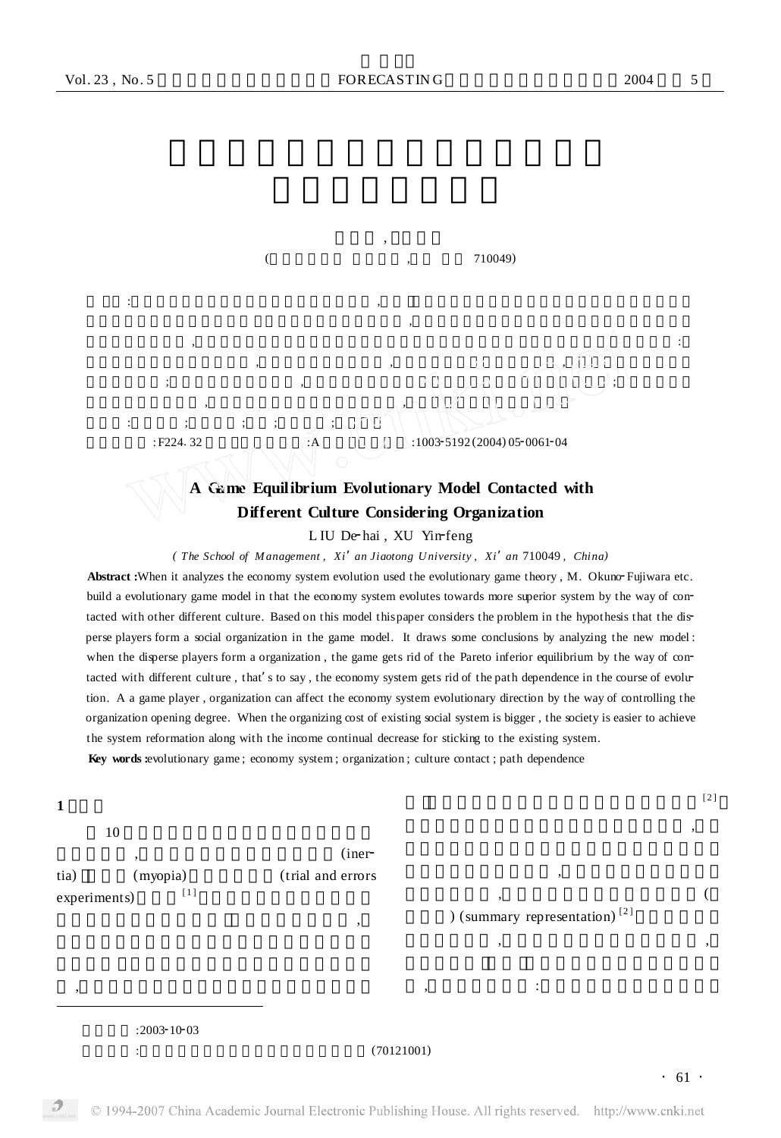**刘德海** ,  **徐寅峰**

**摘 要** :在运用演化博弈理论分析经济体制的进化时 ,奥野、松井提出了一个与不同文化接触时经济体制向更优 制度进化的演化博弈分析模型。本文在这一模型的基础上 ,考察了当现有模型中分散的参与者形成一个社会组  $\lambda$ 分散的参与者形成一个组织后 ,通过与不同文化的交流 ,排除了帕累托劣位均衡的出现 ,即经济体制摆脱了进化 的路径依赖性 ;组织作为博弈的参与者 ,可以通过控制组织的开放程度引导经济体制的演化方向 ;当现有社会体

## $($  710049)

**关键词** :演化博弈 ;经济体制 ;组织 ;文化接触 ;路径依赖

**E224.32** : F224.32 : A :1003-5192 (2004) 05-0061-04

## **A Game Equilibrium Evolutionary Model Contacted with Different Culture Considering Organization**

L IU De-hai, XU Yin-feng

*( The School of M anagement , Xi*'*an Jiaotong U niversity , Xi*'*an* 710049 *, China)*

**Abstract :**When it analyzes the economy system evolution used the evolutionary game theory, M. Okuno Fujiwara etc. build a evolutionary game model in that the economy system evolutes towards more superior system by the way of contacted with other different culture. Based on this model this paper considers the problem in the hypothesis that the disperse players form a social organization in the game model. It draws some conclusions by analyzing the new model : when the disperse players form a organization, the game gets rid of the Pareto inferior equilibrium by the way of contacted with different culture, that's to say, the economy system gets rid of the path dependence in the course of evolution. A a game player , organization can affect the economy system evolutionary direction by the way of controlling the organization opening degree. When the organizing cost of existing social system is bigger , the society is easier to achieve the system reformation along with the income continual decrease for sticking to the existing system.

**Key words :**evolutionary game ; economy system ; organization ; culture contact ; path dependence

制的组织成本较大时 ,随着坚持现有体制的收益不断减少 ,社会更易于实现体制的变革。

## **1 引言**

 $10$ 

,  $\frac{1}{2}$  ,  $\frac{1}{2}$  ,  $\frac{1}{2}$  ,  $\frac{1}{2}$  ,  $\frac{1}{2}$  ,  $\frac{1}{2}$  ,  $\frac{1}{2}$  ,  $\frac{1}{2}$  ,  $\frac{1}{2}$  ,  $\frac{1}{2}$  ,  $\frac{1}{2}$  ,  $\frac{1}{2}$  ,  $\frac{1}{2}$  ,  $\frac{1}{2}$  ,  $\frac{1}{2}$  ,  $\frac{1}{2}$  ,  $\frac{1}{2}$  ,  $\frac{1}{2}$  ,  $\frac$ tia) (myopia) (trial and errors  $experiments)$  [1]

) (summary representation)  $[2]$ 

体制的进化时 ,通过设定简单的演化博弈框架 ,

, the contract of  $\ddot{\hspace{1mm}}$ 

 $[2]$  $\overline{\phantom{a}}$ 

 $\overline{\phantom{a}}$  $\,$ 

**:2003-10-03**<br>:

 $\overline{\phantom{a}}$ 

,  $\overline{\phantom{a}}$ 

## **基金项目** :国家自然科学基金优秀创新群体资助项目(70121001)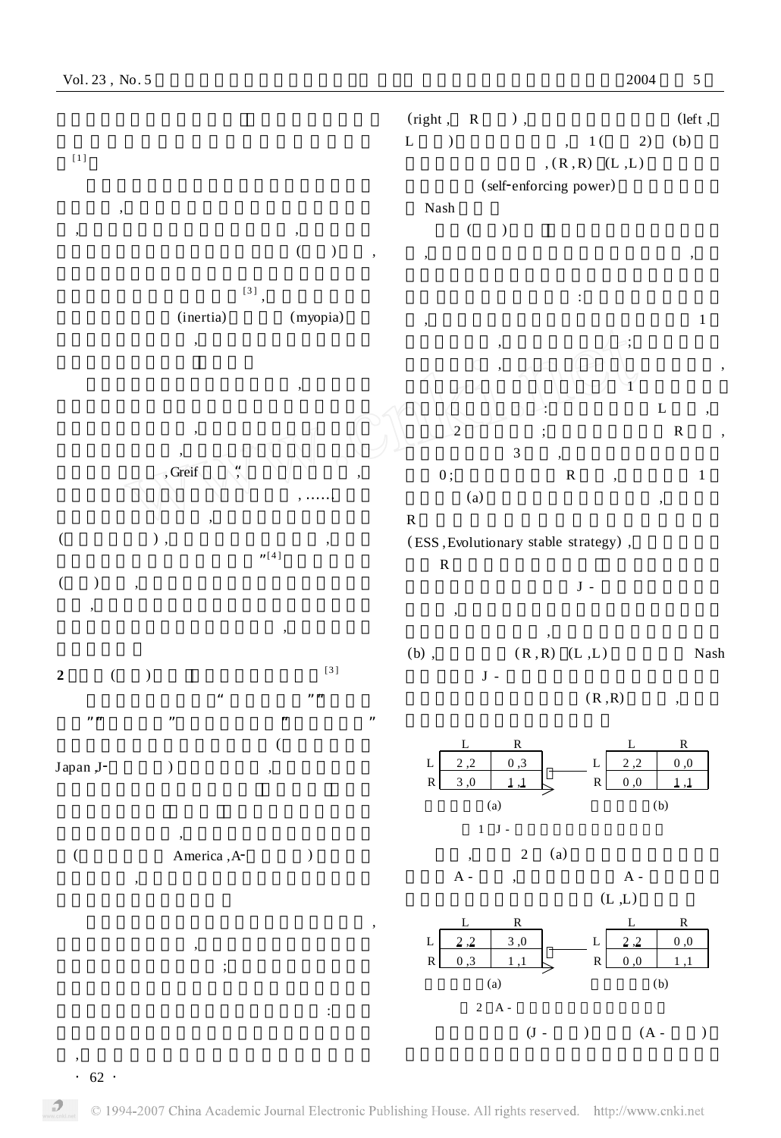

 $\cdot$  62  $\cdot$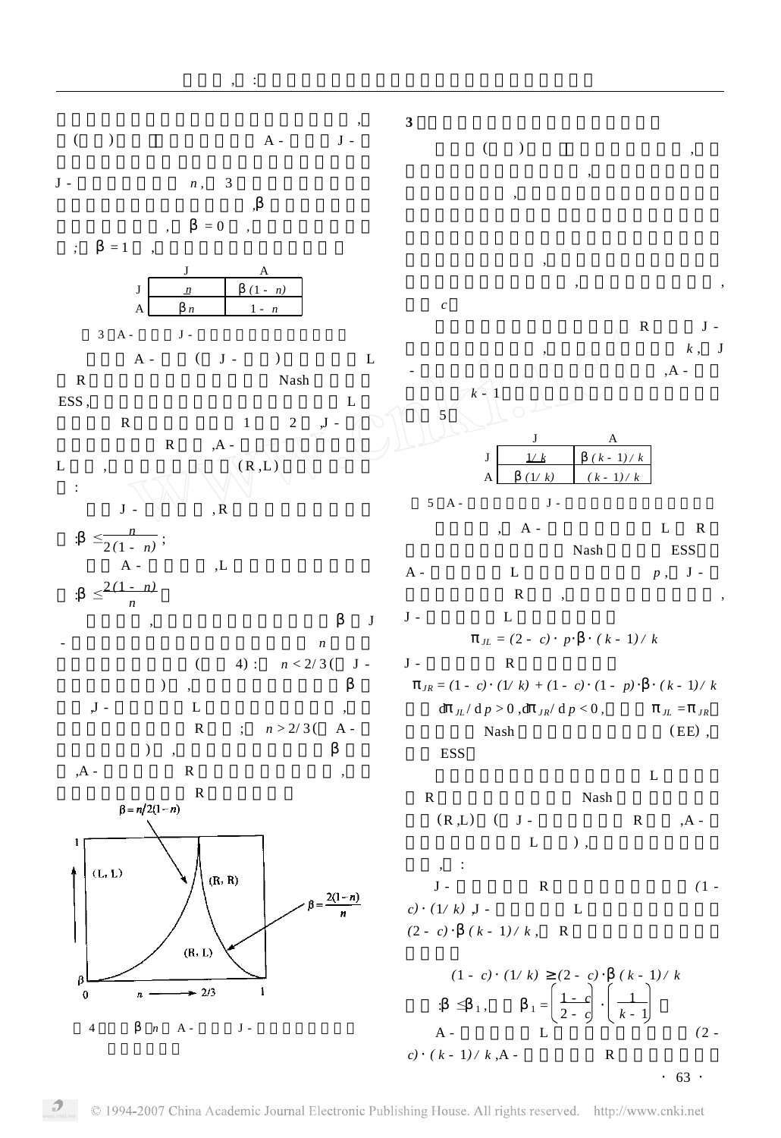

 $\cdot$  63  $\cdot$